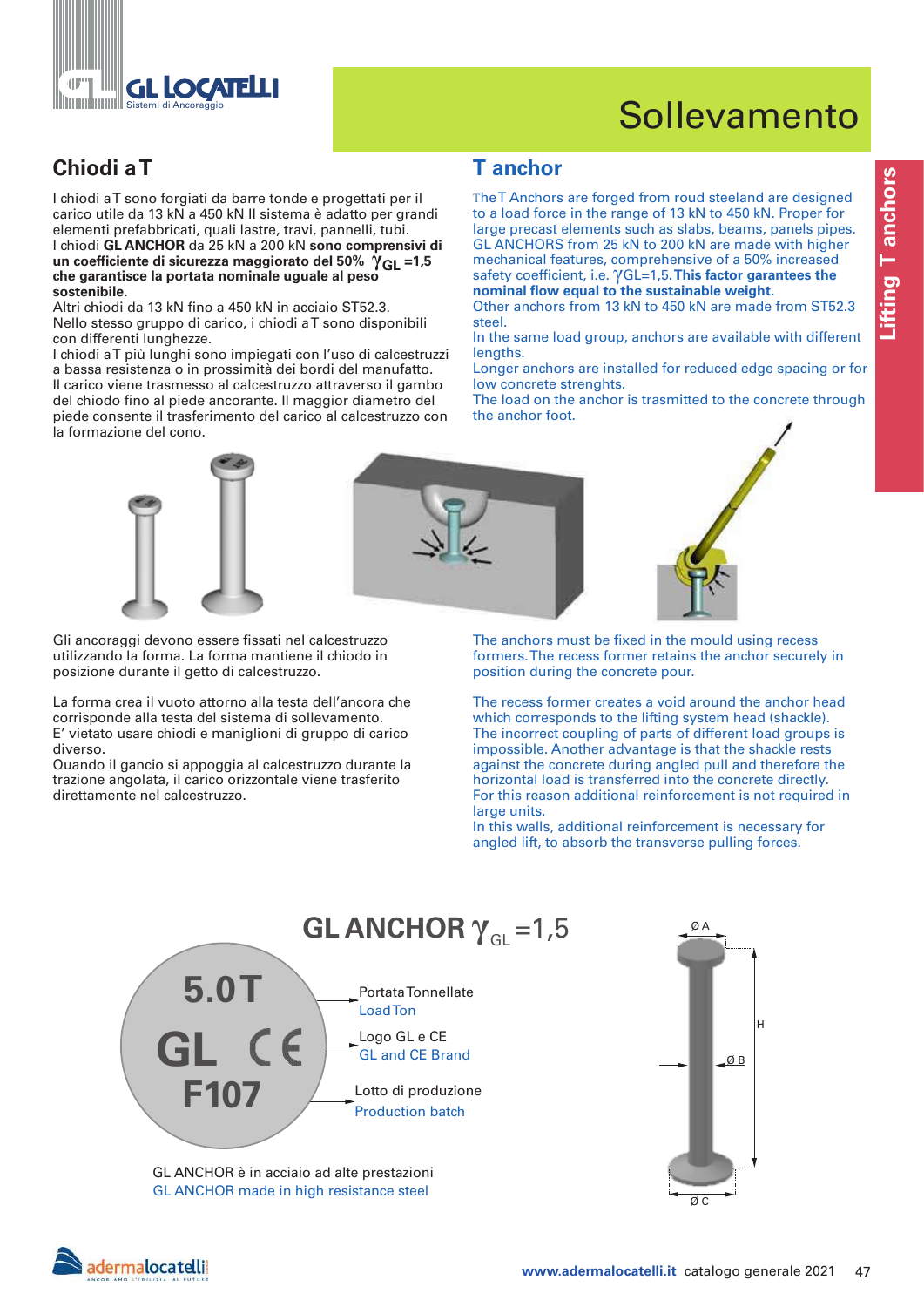

# Sollevamento

# **Chiodi a T T anchor**

I chiodi a T sono forgiati da barre tonde e progettati per il carico utile da 13 kN a 450 kN Il sistema è adatto per grandi elementi prefabbricati, quali lastre, travi, pannelli, tubi. I chiodi **GL ANCHOR** da 25 kN a 200 kN **sono comprensivi di un coefficiente di sicurezza maggiorato del 50% γGL =1,5 che garantisce la portata nominale uguale al peso sostenibile.**

Altri chiodi da 13 kN fino a 450 kN in acciaio ST52.3. Nello stesso gruppo di carico, i chiodi a T sono disponibili con differenti lunghezze.

I chiodi a T più lunghi sono impiegati con l'uso di calcestruzzi a bassa resistenza o in prossimità dei bordi del manufatto. Il carico viene trasmesso al calcestruzzo attraverso il gambo del chiodo fino al piede ancorante. Il maggior diametro del piede consente il trasferimento del carico al calcestruzzo con la formazione del cono.

The T Anchors are forged from roud steeland are designed to a load force in the range of 13 kN to 450 kN. Proper for large precast elements such as slabs, beams, panels pipes. GL ANCHORS from 25 kN to 200 kN are made with higher mechanical features, comprehensive of a 50% increased safety coefficient, i.e. γGL=1,5**. This factor garantees the nominal flow equal to the sustainable weight.** 

Other anchors from 13 kN to 450 kN are made from ST52.3 steel.

Longer anchors are installed for reduced edge spacing or for low concrete strenghts.

The load on the anchor is trasmitted to the concrete through the anchor foot.



Gli ancoraggi devono essere fissati nel calcestruzzo utilizzando la forma. La forma mantiene il chiodo in posizione durante il getto di calcestruzzo.

La forma crea il vuoto attorno alla testa dell'ancora che corrisponde alla testa del sistema di sollevamento. E' vietato usare chiodi e maniglioni di gruppo di carico diverso.

Quando il gancio si appoggia al calcestruzzo durante la trazione angolata, il carico orizzontale viene trasferito direttamente nel calcestruzzo.



The anchors must be fixed in the mould using recess formers. The recess former retains the anchor securely in position during the concrete pour.

The recess former creates a void around the anchor head which corresponds to the lifting system head (shackle). The incorrect coupling of parts of different load groups is impossible. Another advantage is that the shackle rests against the concrete during angled pull and therefore the horizontal load is transferred into the concrete directly. For this reason additional reinforcement is not required in large units.

In this walls, additional reinforcement is necessary for angled lift, to absorb the transverse pulling forces.







In the same load group, anchors are available with different lengths.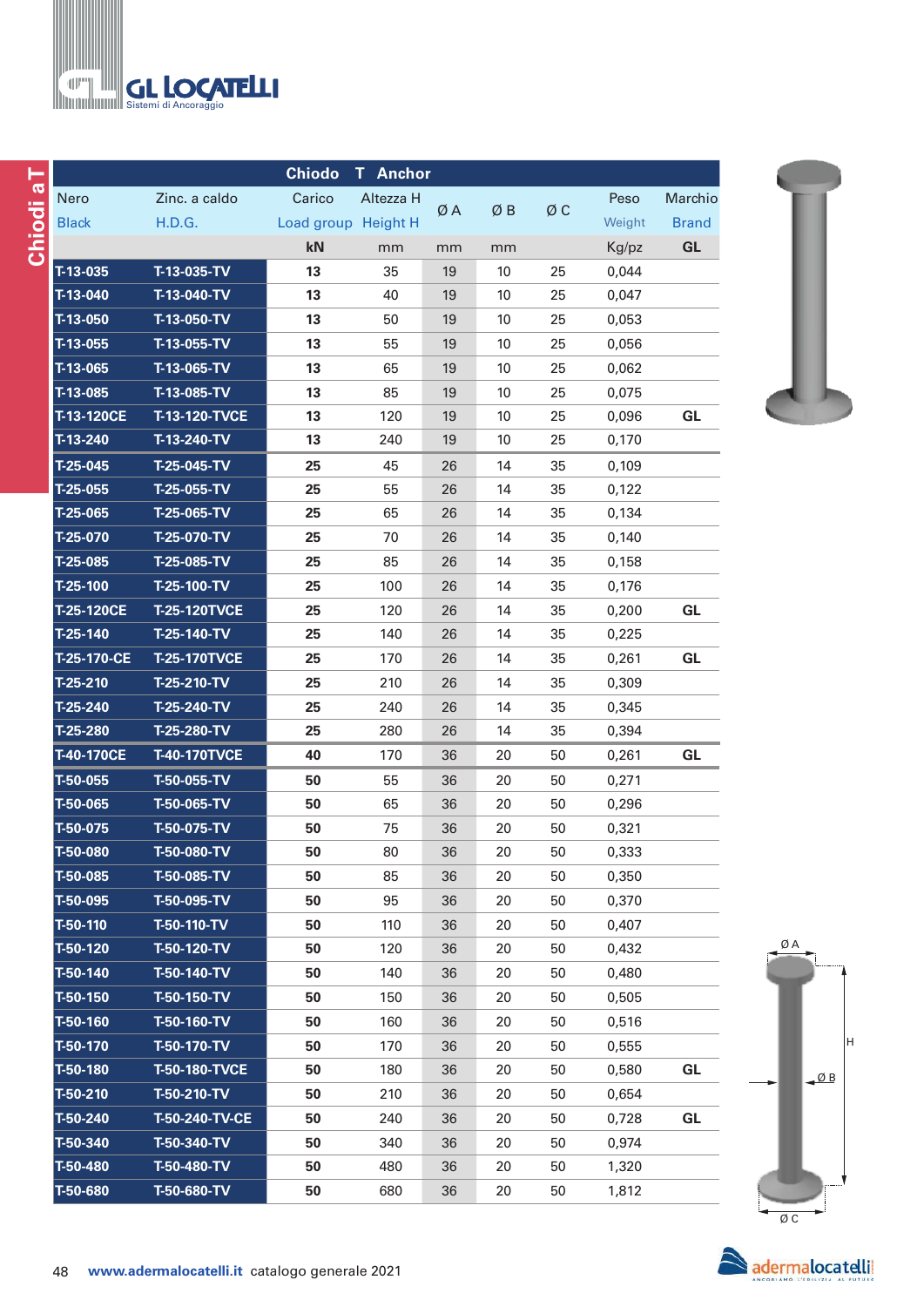

|              |                      | <b>Chiodo</b> | <b>T</b> Anchor     |    |      |    |        |              |
|--------------|----------------------|---------------|---------------------|----|------|----|--------|--------------|
| Nero         | Zinc. a caldo        | Carico        | Altezza H           |    |      |    | Peso   | Marchio      |
| <b>Black</b> | H.D.G.               |               | Load group Height H | ØA | ØΒ   | ØС | Weight | <b>Brand</b> |
|              |                      | kN            | mm                  | mm | mm   |    | Kg/pz  | GL           |
| $T-13-035$   | T-13-035-TV          | 13            | 35                  | 19 | 10   | 25 | 0,044  |              |
| T-13-040     | T-13-040-TV          | 13            | 40                  | 19 | 10   | 25 | 0,047  |              |
| T-13-050     | T-13-050-TV          | 13            | 50                  | 19 | $10$ | 25 | 0,053  |              |
| $T-13-055$   | T-13-055-TV          | 13            | 55                  | 19 | 10   | 25 | 0,056  |              |
| T-13-065     | T-13-065-TV          | 13            | 65                  | 19 | 10   | 25 | 0,062  |              |
| T-13-085     | T-13-085-TV          | 13            | 85                  | 19 | 10   | 25 | 0,075  |              |
| T-13-120CE   | <b>T-13-120-TVCE</b> | 13            | 120                 | 19 | 10   | 25 | 0,096  | GL           |
| T-13-240     | T-13-240-TV          | 13            | 240                 | 19 | 10   | 25 | 0,170  |              |
| $T-25-045$   | T-25-045-TV          | 25            | 45                  | 26 | 14   | 35 | 0,109  |              |
| T-25-055     | T-25-055-TV          | 25            | 55                  | 26 | 14   | 35 | 0,122  |              |
| T-25-065     | T-25-065-TV          | 25            | 65                  | 26 | 14   | 35 | 0,134  |              |
| T-25-070     | T-25-070-TV          | 25            | 70                  | 26 | 14   | 35 | 0,140  |              |
| T-25-085     | T-25-085-TV          | 25            | 85                  | 26 | 14   | 35 | 0,158  |              |
| T-25-100     | T-25-100-TV          | 25            | 100                 | 26 | 14   | 35 | 0,176  |              |
| T-25-120CE   | <b>T-25-120TVCE</b>  | 25            | 120                 | 26 | 14   | 35 | 0,200  | GL           |
| T-25-140     | T-25-140-TV          | 25            | 140                 | 26 | 14   | 35 | 0,225  |              |
| T-25-170-CE  | <b>T-25-170TVCE</b>  | 25            | 170                 | 26 | 14   | 35 | 0,261  | GL           |
| T-25-210     | T-25-210-TV          | 25            | 210                 | 26 | 14   | 35 | 0,309  |              |
| T-25-240     | T-25-240-TV          | 25            | 240                 | 26 | 14   | 35 | 0,345  |              |
| T-25-280     | T-25-280-TV          | 25            | 280                 | 26 | 14   | 35 | 0,394  |              |
| T-40-170CE   | <b>T-40-170TVCE</b>  | 40            | 170                 | 36 | 20   | 50 | 0,261  | GL           |
| T-50-055     | T-50-055-TV          | 50            | 55                  | 36 | 20   | 50 | 0,271  |              |
| T-50-065     | T-50-065-TV          | 50            | 65                  | 36 | 20   | 50 | 0,296  |              |
| T-50-075     | T-50-075-TV          | 50            | 75                  | 36 | 20   | 50 | 0,321  |              |
| T-50-080     | T-50-080-TV          | 50            | 80                  | 36 | 20   | 50 | 0,333  |              |
| T-50-085     | T-50-085-TV          | 50            | 85                  | 36 | 20   | 50 | 0,350  |              |
| T-50-095     | T-50-095-TV          | 50            | 95                  | 36 | 20   | 50 | 0,370  |              |
| T-50-110     | T-50-110-TV          | 50            | 110                 | 36 | 20   | 50 | 0,407  |              |
| T-50-120     | $T-50-120-TV$        | 50            | 120                 | 36 | 20   | 50 | 0,432  |              |
| T-50-140     | T-50-140-TV          | 50            | 140                 | 36 | 20   | 50 | 0,480  |              |
| T-50-150     | T-50-150-TV          | 50            | 150                 | 36 | 20   | 50 | 0,505  |              |
| T-50-160     | T-50-160-TV          | 50            | 160                 | 36 | 20   | 50 | 0,516  |              |
| T-50-170     | $T-50-170-TV$        | 50            | 170                 | 36 | 20   | 50 | 0,555  |              |
| T-50-180     | <b>T-50-180-TVCE</b> | 50            | 180                 | 36 | 20   | 50 | 0,580  | <b>GL</b>    |
| T-50-210     | T-50-210-TV          | 50            | 210                 | 36 | 20   | 50 | 0,654  |              |
| T-50-240     | T-50-240-TV-CE       | 50            | 240                 | 36 | 20   | 50 | 0,728  | GL           |
| T-50-340     | T-50-340-TV          | 50            | 340                 | 36 | 20   | 50 | 0,974  |              |
| T-50-480     | T-50-480-TV          | 50            | 480                 | 36 | 20   | 50 | 1,320  |              |
| T-50-680     | T-50-680-TV          | 50            | 680                 | 36 | 20   | 50 | 1,812  |              |





adermalocatelli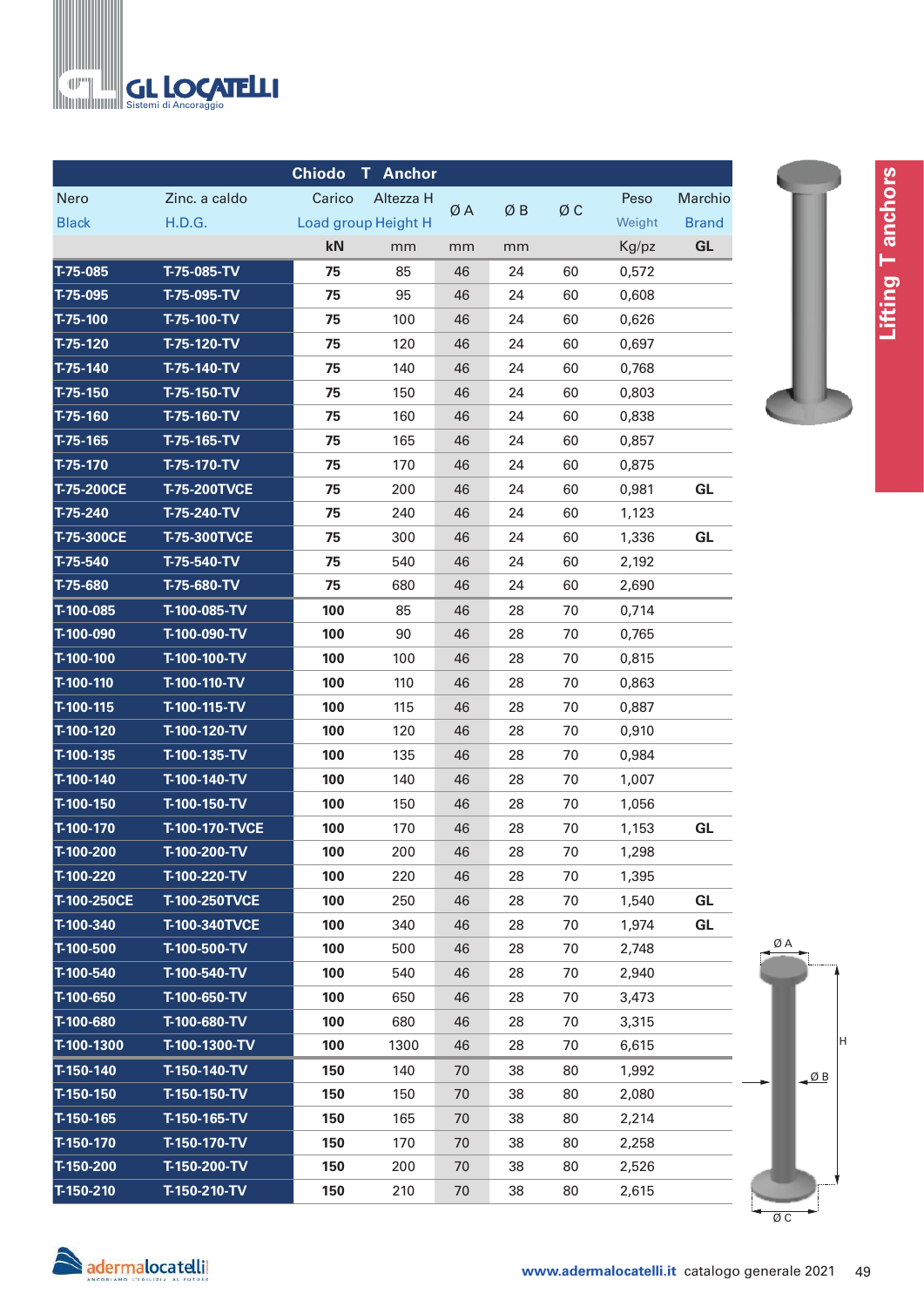

|              |                      | <b>Chiodo</b> | <b>Anchor</b><br>T. |    |    |    |        |              |
|--------------|----------------------|---------------|---------------------|----|----|----|--------|--------------|
| Nero         | Zinc. a caldo        | Carico        | Altezza H           |    |    |    | Peso   | Marchio      |
| <b>Black</b> | H.D.G.               |               | Load group Height H | ØΑ | ØΒ | ØС | Weight | <b>Brand</b> |
|              |                      | kN            | mm                  | mm | mm |    | Kg/pz  | GL           |
| T-75-085     | T-75-085-TV          | 75            | 85                  | 46 | 24 | 60 | 0,572  |              |
| $T-75-095$   | T-75-095-TV          | 75            | 95                  | 46 | 24 | 60 | 0,608  |              |
| $T-75-100$   | T-75-100-TV          | 75            | 100                 | 46 | 24 | 60 | 0,626  |              |
| $T-75-120$   | T-75-120-TV          | 75            | 120                 | 46 | 24 | 60 | 0,697  |              |
| $T-75-140$   | T-75-140-TV          | 75            | 140                 | 46 | 24 | 60 | 0,768  |              |
| $T-75-150$   | T-75-150-TV          | 75            | 150                 | 46 | 24 | 60 | 0,803  |              |
| T-75-160     | T-75-160-TV          | 75            | 160                 | 46 | 24 | 60 | 0,838  |              |
| $T-75-165$   | T-75-165-TV          | 75            | 165                 | 46 | 24 | 60 | 0,857  |              |
| $T-75-170$   | T-75-170-TV          | 75            | 170                 | 46 | 24 | 60 | 0,875  |              |
| T-75-200CE   | <b>T-75-200TVCE</b>  | 75            | 200                 | 46 | 24 | 60 | 0,981  | GL           |
| $T-75-240$   | T-75-240-TV          | 75            | 240                 | 46 | 24 | 60 | 1,123  |              |
| T-75-300CE   | <b>T-75-300TVCE</b>  | 75            | 300                 | 46 | 24 | 60 | 1,336  | GL           |
| $T-75-540$   | T-75-540-TV          | 75            | 540                 | 46 | 24 | 60 | 2,192  |              |
| T-75-680     | T-75-680-TV          | 75            | 680                 | 46 | 24 | 60 | 2,690  |              |
| T-100-085    | T-100-085-TV         | 100           | 85                  | 46 | 28 | 70 | 0,714  |              |
| T-100-090    | T-100-090-TV         | 100           | 90                  | 46 | 28 | 70 | 0,765  |              |
| T-100-100    | T-100-100-TV         | 100           | 100                 | 46 | 28 | 70 | 0,815  |              |
| T-100-110    | T-100-110-TV         | 100           | 110                 | 46 | 28 | 70 | 0,863  |              |
| T-100-115    | T-100-115-TV         | 100           | 115                 | 46 | 28 | 70 | 0,887  |              |
| T-100-120    | T-100-120-TV         | 100           | 120                 | 46 | 28 | 70 | 0,910  |              |
| T-100-135    | T-100-135-TV         | 100           | 135                 | 46 | 28 | 70 | 0,984  |              |
| T-100-140    | T-100-140-TV         | 100           | 140                 | 46 | 28 | 70 | 1,007  |              |
| T-100-150    | T-100-150-TV         | 100           | 150                 | 46 | 28 | 70 | 1,056  |              |
| T-100-170    | T-100-170-TVCE       | 100           | 170                 | 46 | 28 | 70 | 1,153  | GL           |
| T-100-200    | T-100-200-TV         | 100           | 200                 | 46 | 28 | 70 | 1,298  |              |
| T-100-220    | T-100-220-TV         | 100           | 220                 | 46 | 28 | 70 | 1,395  |              |
| T-100-250CE  | <b>T-100-250TVCE</b> | 100           | 250                 | 46 | 28 | 70 | 1,540  | <b>GL</b>    |
| T-100-340    | <b>T-100-340TVCE</b> | 100           | 340                 | 46 | 28 | 70 | 1,974  | GL           |
| T-100-500    | T-100-500-TV         | 100           | 500                 | 46 | 28 | 70 | 2,748  |              |
| T-100-540    | T-100-540-TV         | 100           | 540                 | 46 | 28 | 70 | 2,940  |              |
| T-100-650    | T-100-650-TV         | 100           | 650                 | 46 | 28 | 70 | 3,473  |              |
| T-100-680    | T-100-680-TV         | 100           | 680                 | 46 | 28 | 70 | 3,315  |              |
| T-100-1300   | T-100-1300-TV        | 100           | 1300                | 46 | 28 | 70 | 6,615  |              |
| T-150-140    | T-150-140-TV         | 150           | 140                 | 70 | 38 | 80 | 1,992  |              |
| T-150-150    | T-150-150-TV         | 150           | 150                 | 70 | 38 | 80 | 2,080  |              |
| T-150-165    | T-150-165-TV         | 150           | 165                 | 70 | 38 | 80 | 2,214  |              |
| T-150-170    | T-150-170-TV         | 150           | 170                 | 70 | 38 | 80 | 2,258  |              |
| T-150-200    | T-150-200-TV         | 150           | 200                 | 70 | 38 | 80 | 2,526  |              |
| T-150-210    | T-150-210-TV         | 150           | 210                 | 70 | 38 | 80 | 2,615  |              |



**Lifting T anchors** 

Lifting Tanchors

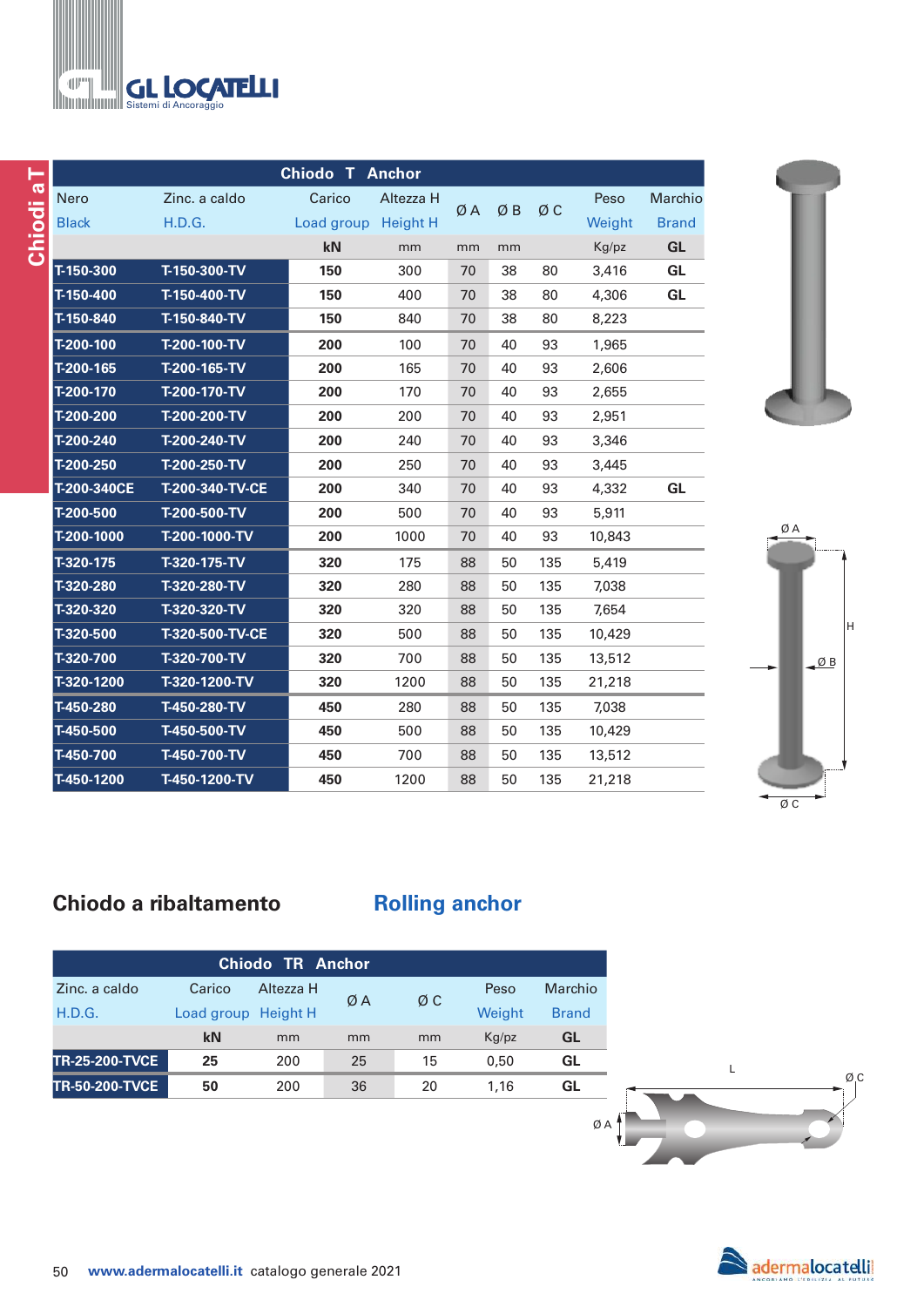| <b>THE GL LOCATELL!</b> |
|-------------------------|

|              |                 | <b>Chiodo T Anchor</b> |           |    |    |     |        |              |
|--------------|-----------------|------------------------|-----------|----|----|-----|--------|--------------|
| <b>Nero</b>  | Zinc. a caldo   | Carico                 | Altezza H |    |    | ØC  | Peso   | Marchio      |
| <b>Black</b> | H.D.G.          | Load group Height H    |           | ØA | ØΒ |     | Weight | <b>Brand</b> |
|              |                 | kN                     | mm        | mm | mm |     | Kg/pz  | <b>GL</b>    |
| T-150-300    | T-150-300-TV    | 150                    | 300       | 70 | 38 | 80  | 3,416  | <b>GL</b>    |
| T-150-400    | T-150-400-TV    | 150                    | 400       | 70 | 38 | 80  | 4,306  | <b>GL</b>    |
| T-150-840    | T-150-840-TV    | 150                    | 840       | 70 | 38 | 80  | 8,223  |              |
| T-200-100    | T-200-100-TV    | 200                    | 100       | 70 | 40 | 93  | 1,965  |              |
| T-200-165    | T-200-165-TV    | 200                    | 165       | 70 | 40 | 93  | 2,606  |              |
| T-200-170    | T-200-170-TV    | 200                    | 170       | 70 | 40 | 93  | 2,655  |              |
| T-200-200    | T-200-200-TV    | 200                    | 200       | 70 | 40 | 93  | 2,951  |              |
| T-200-240    | T-200-240-TV    | 200                    | 240       | 70 | 40 | 93  | 3,346  |              |
| T-200-250    | T-200-250-TV    | 200                    | 250       | 70 | 40 | 93  | 3,445  |              |
| T-200-340CE  | T-200-340-TV-CE | 200                    | 340       | 70 | 40 | 93  | 4,332  | <b>GL</b>    |
| T-200-500    | T-200-500-TV    | 200                    | 500       | 70 | 40 | 93  | 5,911  |              |
| T-200-1000   | T-200-1000-TV   | 200                    | 1000      | 70 | 40 | 93  | 10,843 |              |
| $T-320-175$  | T-320-175-TV    | 320                    | 175       | 88 | 50 | 135 | 5,419  |              |
| T-320-280    | T-320-280-TV    | 320                    | 280       | 88 | 50 | 135 | 7,038  |              |
| T-320-320    | T-320-320-TV    | 320                    | 320       | 88 | 50 | 135 | 7,654  |              |
| T-320-500    | T-320-500-TV-CE | 320                    | 500       | 88 | 50 | 135 | 10,429 |              |
| T-320-700    | T-320-700-TV    | 320                    | 700       | 88 | 50 | 135 | 13,512 |              |
| T-320-1200   | T-320-1200-TV   | 320                    | 1200      | 88 | 50 | 135 | 21,218 |              |
| T-450-280    | T-450-280-TV    | 450                    | 280       | 88 | 50 | 135 | 7,038  |              |
| T-450-500    | T-450-500-TV    | 450                    | 500       | 88 | 50 | 135 | 10,429 |              |
| $T-450-700$  | T-450-700-TV    | 450                    | 700       | 88 | 50 | 135 | 13,512 |              |
| T-450-1200   | T-450-1200-TV   | 450                    | 1200      | 88 | 50 | 135 | 21,218 |              |





# **Chiodo a ribaltamento by Rolling anchor**

|                       |            | Chiodo TR Anchor |    |    |        |              |
|-----------------------|------------|------------------|----|----|--------|--------------|
| Zinc. a caldo         | Carico     | Altezza H        |    | ØΣ | Peso   | Marchio      |
| H.D.G.                | Load group | Height H         | ØA |    | Weight | <b>Brand</b> |
|                       | kN         | mm               | mm | mm | Kq/pz  | GL           |
| <b>TR-25-200-TVCE</b> | 25         | 200              | 25 | 15 | 0.50   | GL           |
| <b>TR-50-200-TVCE</b> | 50         | 200              | 36 | 20 | 1.16   | GL           |
|                       |            |                  |    |    |        |              |



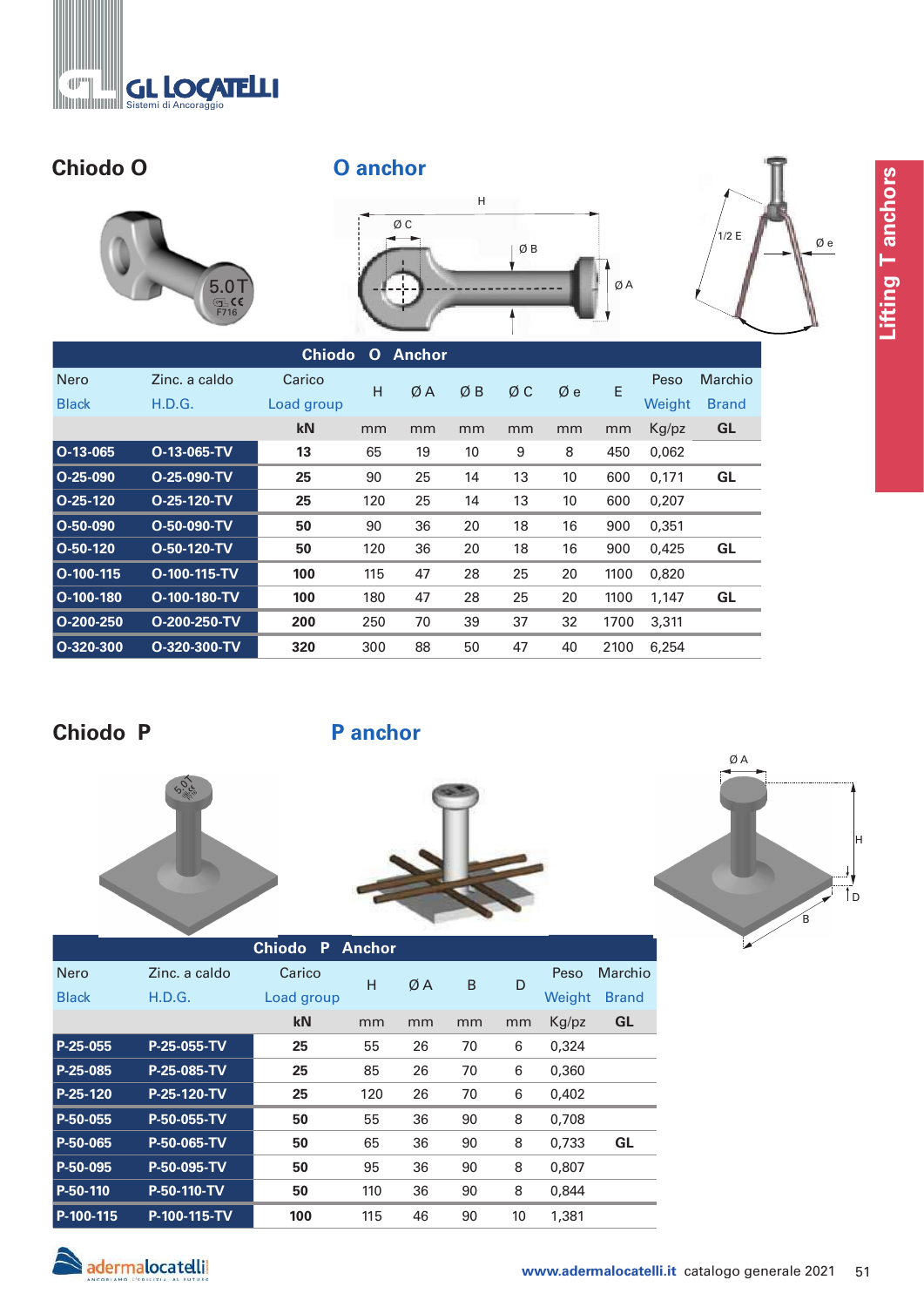

# **Chiodo O O anchor**





| 1/2 E | $\emptyset$ e |
|-------|---------------|
|       |               |

|               |                | <b>Chiodo</b> | $\mathbf{O}$ | <b>Anchor</b> |    |    |    |      |        |              |
|---------------|----------------|---------------|--------------|---------------|----|----|----|------|--------|--------------|
| <b>Nero</b>   | Zinc. a caldo  | Carico        | H            |               |    |    |    |      | Peso   | Marchio      |
| <b>Black</b>  | H.D.G.         | Load group    |              | ØA            | ØΒ | ØΣ | Øе | E    | Weight | <b>Brand</b> |
|               |                | kN            | mm           | mm            | mm | mm | mm | mm   | Kg/pz  | <b>GL</b>    |
| $ O-13-065 $  | O-13-065-TV    | 13            | 65           | 19            | 10 | 9  | 8  | 450  | 0,062  |              |
| $O-25-090$    | O-25-090-TV    | 25            | 90           | 25            | 14 | 13 | 10 | 600  | 0,171  | GL           |
| $O-25-120$    | O-25-120-TV    | 25            | 120          | 25            | 14 | 13 | 10 | 600  | 0,207  |              |
| $O-50-090$    | O-50-090-TV    | 50            | 90           | 36            | 20 | 18 | 16 | 900  | 0,351  |              |
| $O-50-120$    | O-50-120-TV    | 50            | 120          | 36            | 20 | 18 | 16 | 900  | 0,425  | GL           |
| $O-100-115$   | O-100-115-TV   | 100           | 115          | 47            | 28 | 25 | 20 | 1100 | 0.820  |              |
| $ O-100-180 $ | $O-100-180-TV$ | 100           | 180          | 47            | 28 | 25 | 20 | 1100 | 1,147  | GL           |
| O-200-250     | O-200-250-TV   | 200           | 250          | 70            | 39 | 37 | 32 | 1700 | 3,311  |              |
| $O-320-300$   | O-320-300-TV   | 320           | 300          | 88            | 50 | 47 | 40 | 2100 | 6.254  |              |

# **Chiodo P**

**P anchor**







 $Q$  A



İn

H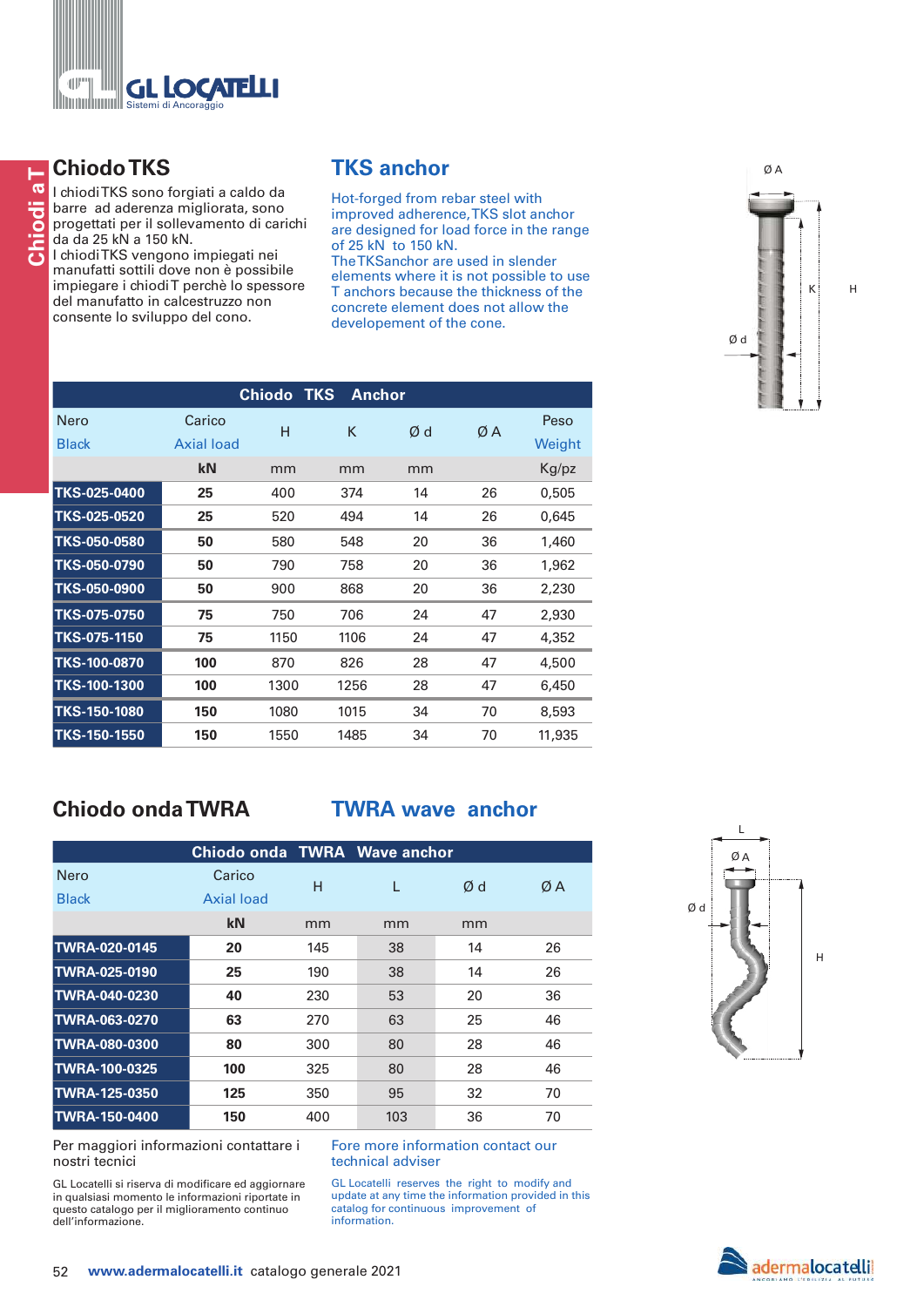

# **Chiodo TKS**

I chiodi TKS sono forgiati a caldo da barre ad aderenza migliorata, sono progettati per il sollevamento di carichi da da 25 kN a 150 kN.

I chiodi TKS vengono impiegati nei manufatti sottili dove non è possibile impiegare i chiodi T perchè lo spessore del manufatto in calcestruzzo non consente lo sviluppo del cono.

# **TKS anchor**

Hot-forged from rebar steel with improved adherence, TKS slot anchor are designed for load force in the range of 25 kN to 150 kN. The TKSanchor are used in slender elements where it is not possible to use T anchors because the thickness of the concrete element does not allow the developement of the cone.

|                     |            | <b>Chiodo</b> | <b>TKS</b> | <b>Anchor</b> |    |        |
|---------------------|------------|---------------|------------|---------------|----|--------|
| Nero                | Carico     | н             | K          | Ød            | ØA | Peso   |
| <b>Black</b>        | Axial load |               |            |               |    | Weight |
|                     | kN         | mm            | mm         | mm            |    | Kg/pz  |
| TKS-025-0400        | 25         | 400           | 374        | 14            | 26 | 0,505  |
| TKS-025-0520        | 25         | 520           | 494        | 14            | 26 | 0,645  |
| TKS-050-0580        | 50         | 580           | 548        | 20            | 36 | 1,460  |
| TKS-050-0790        | 50         | 790           | 758        | 20            | 36 | 1,962  |
| TKS-050-0900        | 50         | 900           | 868        | 20            | 36 | 2,230  |
| TKS-075-0750        | 75         | 750           | 706        | 24            | 47 | 2,930  |
| TKS-075-1150        | 75         | 1150          | 1106       | 24            | 47 | 4,352  |
| TKS-100-0870        | 100        | 870           | 826        | 28            | 47 | 4,500  |
| <b>TKS-100-1300</b> | 100        | 1300          | 1256       | 28            | 47 | 6,450  |
| <b>TKS-150-1080</b> | 150        | 1080          | 1015       | 34            | 70 | 8,593  |
| <b>TKS-150-1550</b> | 150        | 1550          | 1485       | 34            | 70 | 11,935 |

# **Chiodo onda TWRA**

## **TWRA wave anchor**

|                      | Chiodo onda TWRA Wave anchor |     |     |    |    |
|----------------------|------------------------------|-----|-----|----|----|
| Nero                 | Carico                       | н   |     | Ød | ØΑ |
| <b>Black</b>         | Axial load                   |     |     |    |    |
|                      | kN                           | mm  | mm  | mm |    |
| <b>TWRA-020-0145</b> | 20                           | 145 | 38  | 14 | 26 |
| <b>TWRA-025-0190</b> | 25                           | 190 | 38  | 14 | 26 |
| <b>TWRA-040-0230</b> | 40                           | 230 | 53  | 20 | 36 |
| TWRA-063-0270        | 63                           | 270 | 63  | 25 | 46 |
| <b>TWRA-080-0300</b> | 80                           | 300 | 80  | 28 | 46 |
| <b>TWRA-100-0325</b> | 100                          | 325 | 80  | 28 | 46 |
| <b>TWRA-125-0350</b> | 125                          | 350 | 95  | 32 | 70 |
| <b>TWRA-150-0400</b> | 150                          | 400 | 103 | 36 | 70 |

Per maggiori informazioni contattare i nostri tecnici

GL Locatelli si riserva di modificare ed aggiornare in qualsiasi momento le informazioni riportate in questo catalogo per il miglioramento continuo dell'informazione.

Fore more information contact our technical adviser

GL Locatelli reserves the right to modify and update at any time the information provided in this catalog for continuous improvement of information.



Ø A

K

H

Ø d



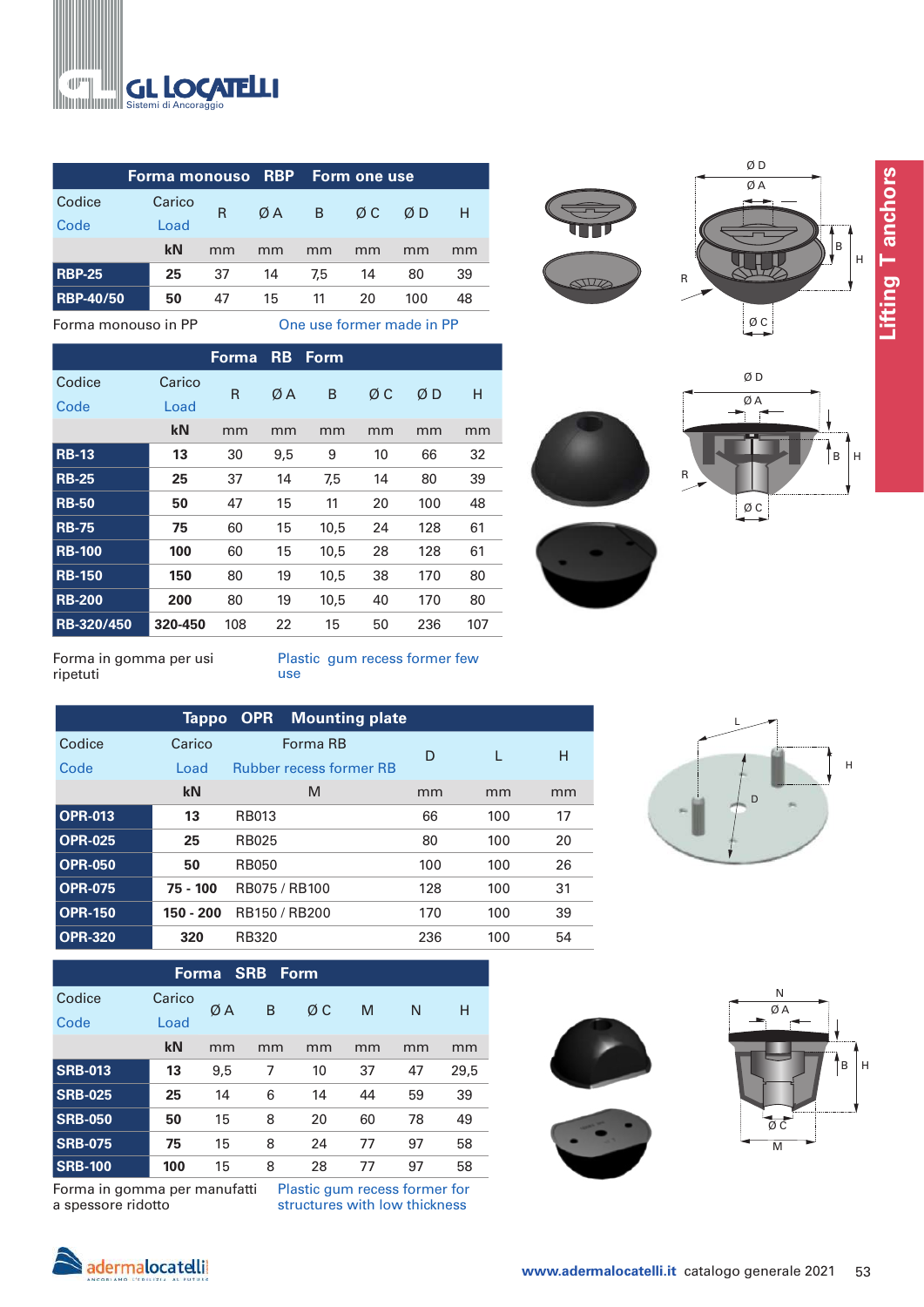

|                  | Forma monouso RBP |    |    |     | <b>Form one use</b> |     |    |
|------------------|-------------------|----|----|-----|---------------------|-----|----|
| Codice           | Carico            | R  | ØA | B   | ØΣ                  | ØD  | Н  |
| Code             | Load              |    |    |     |                     |     |    |
|                  | kN                | mm | mm | mm  | mm                  | mm  | mm |
| <b>RBP-25</b>    | 25                | 37 | 14 | 7.5 | 14                  | 80  | 39 |
| <b>RBP-40/50</b> | 50                | 47 | 15 | 11  | 20                  | 100 | 48 |
|                  |                   |    |    |     |                     |     |    |

Forma monouso in PP One use former made in PP

|               |         | Forma | <b>RB</b> | <b>Form</b> |    |     |     |
|---------------|---------|-------|-----------|-------------|----|-----|-----|
| Codice        | Carico  | R     | ØΑ        | B           | ØС | ØΒ  | Н   |
| Code          | Load    |       |           |             |    |     |     |
|               | kN      | mm    | mm        | mm          | mm | mm  | mm  |
| <b>RB-13</b>  | 13      | 30    | 9,5       | 9           | 10 | 66  | 32  |
| <b>RB-25</b>  | 25      | 37    | 14        | 7,5         | 14 | 80  | 39  |
| <b>RB-50</b>  | 50      | 47    | 15        | 11          | 20 | 100 | 48  |
| <b>RB-75</b>  | 75      | 60    | 15        | 10,5        | 24 | 128 | 61  |
| <b>RB-100</b> | 100     | 60    | 15        | 10,5        | 28 | 128 | 61  |
| <b>RB-150</b> | 150     | 80    | 19        | 10,5        | 38 | 170 | 80  |
| <b>RB-200</b> | 200     | 80    | 19        | 10,5        | 40 | 170 | 80  |
| RB-320/450    | 320-450 | 108   | 22        | 15          | 50 | 236 | 107 |









Forma in gomma per usi ripetuti

Plastic gum recess former few use

|                | Tappo       | <b>OPR</b><br><b>Mounting plate</b> |     |     |    |
|----------------|-------------|-------------------------------------|-----|-----|----|
| Codice         | Carico      | Forma RB                            | D   | L   | н  |
| Code           | Load        | <b>Rubber recess former RB</b>      |     |     |    |
|                | kN          | M                                   | mm  | mm  | mm |
| <b>OPR-013</b> | 13          | <b>RB013</b>                        | 66  | 100 | 17 |
| <b>OPR-025</b> | 25          | <b>RB025</b>                        | 80  | 100 | 20 |
| <b>OPR-050</b> | 50          | <b>RB050</b>                        | 100 | 100 | 26 |
| <b>OPR-075</b> | 75 - 100    | RB075 / RB100                       | 128 | 100 | 31 |
| <b>OPR-150</b> | $150 - 200$ | RB150 / RB200                       | 170 | 100 | 39 |
| <b>OPR-320</b> | 320         | <b>RB320</b>                        | 236 | 100 | 54 |



## **Forma SRB Form**

| Codice<br>Code | Carico<br>Load | ØΑ  | B  | ØΣ | M  | N  | н    |
|----------------|----------------|-----|----|----|----|----|------|
|                | kN             | mm  | mm | mm | mm | mm | mm   |
| <b>SRB-013</b> | 13             | 9,5 | 7  | 10 | 37 | 47 | 29,5 |
| <b>SRB-025</b> | 25             | 14  | 6  | 14 | 44 | 59 | 39   |
| <b>SRB-050</b> | 50             | 15  | 8  | 20 | 60 | 78 | 49   |
| <b>SRB-075</b> | 75             | 15  | 8  | 24 | 77 | 97 | 58   |
| <b>SRB-100</b> | 100            | 15  | 8  | 28 | 77 | 97 | 58   |

Forma in gomma per manufatti a spessore ridotto

Plastic gum recess former for structures with low thickness



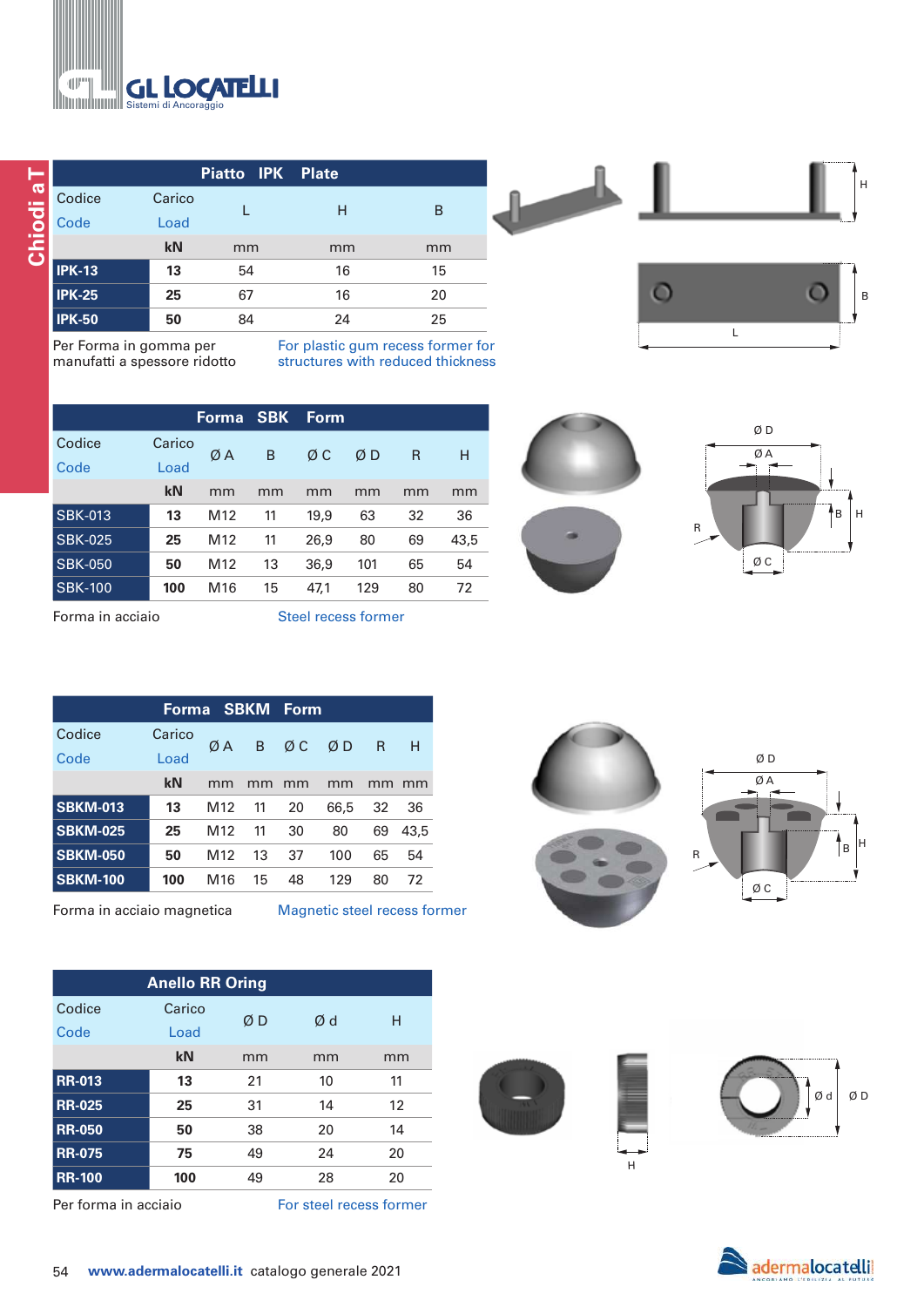

|               |        | Piatto IPK Plate |    |    |
|---------------|--------|------------------|----|----|
| Codice        | Carico |                  | н  | B  |
| Code          | Load   |                  |    |    |
|               | kN     | mm               | mm | mm |
| <b>IPK-13</b> | 13     | 54               | 16 | 15 |
| $IPK-25$      | 25     | 67               | 16 | 20 |
| <b>IPK-50</b> | 50     | 84               | 24 | 25 |

Per Forma in gomma per manufatti a spessore ridotto For plastic gum recess former for structures with reduced thickness

|                |        | Forma           | <b>SBK</b> | Form |     |    |      |
|----------------|--------|-----------------|------------|------|-----|----|------|
| Codice         | Carico | ØΑ              | B          | ØΣ   | ØΒ  | R  | н    |
| Code           | Load   |                 |            |      |     |    |      |
|                | kN     | mm              | mm         | mm   | mm  | mm | mm   |
| <b>SBK-013</b> | 13     | M <sub>12</sub> | 11         | 19,9 | 63  | 32 | 36   |
| <b>SBK-025</b> | 25     | M <sub>12</sub> | 11         | 26,9 | 80  | 69 | 43,5 |
| <b>SBK-050</b> | 50     | M <sub>12</sub> | 13         | 36,9 | 101 | 65 | 54   |
| <b>SBK-100</b> | 100    | M16             | 15         | 47,1 | 129 | 80 | 72   |

Forma in acciaio Steel recess former

|                 |        | Forma SBKM Form |    |    |      |              |      |
|-----------------|--------|-----------------|----|----|------|--------------|------|
| Codice          | Carico | ØA              | B  | ØΣ | ØD   | $\mathsf{R}$ | H    |
| Code            | Load   |                 |    |    |      |              |      |
|                 | kN     | mm              | mm | mm | mm   | mm           | mm   |
| <b>SBKM-013</b> | 13     | M <sub>12</sub> | 11 | 20 | 66.5 | 32           | 36   |
| <b>SBKM-025</b> | 25     | M <sub>12</sub> | 11 | 30 | 80   | 69           | 43,5 |
| <b>SBKM-050</b> | 50     | M <sub>12</sub> | 13 | 37 | 100  | 65           | 54   |
| <b>SBKM-100</b> | 100    | M <sub>16</sub> | 15 | 48 | 129  | 80           | 72   |

Forma in acciaio magnetica Magnetic steel recess former

| <b>Anello RR Oring</b> |        |    |    |    |  |  |
|------------------------|--------|----|----|----|--|--|
| Codice                 | Carico | ØΒ | Ød | н  |  |  |
| Code                   | Load   |    |    |    |  |  |
|                        | kN     | mm | mm | mm |  |  |
| <b>RR-013</b>          | 13     | 21 | 10 | 11 |  |  |
| <b>RR-025</b>          | 25     | 31 | 14 | 12 |  |  |
| <b>RR-050</b>          | 50     | 38 | 20 | 14 |  |  |
| <b>RR-075</b>          | 75     | 49 | 24 | 20 |  |  |
| <b>RR-100</b>          | 100    | 49 | 28 | 20 |  |  |

Per forma in acciaio For steel recess former



L











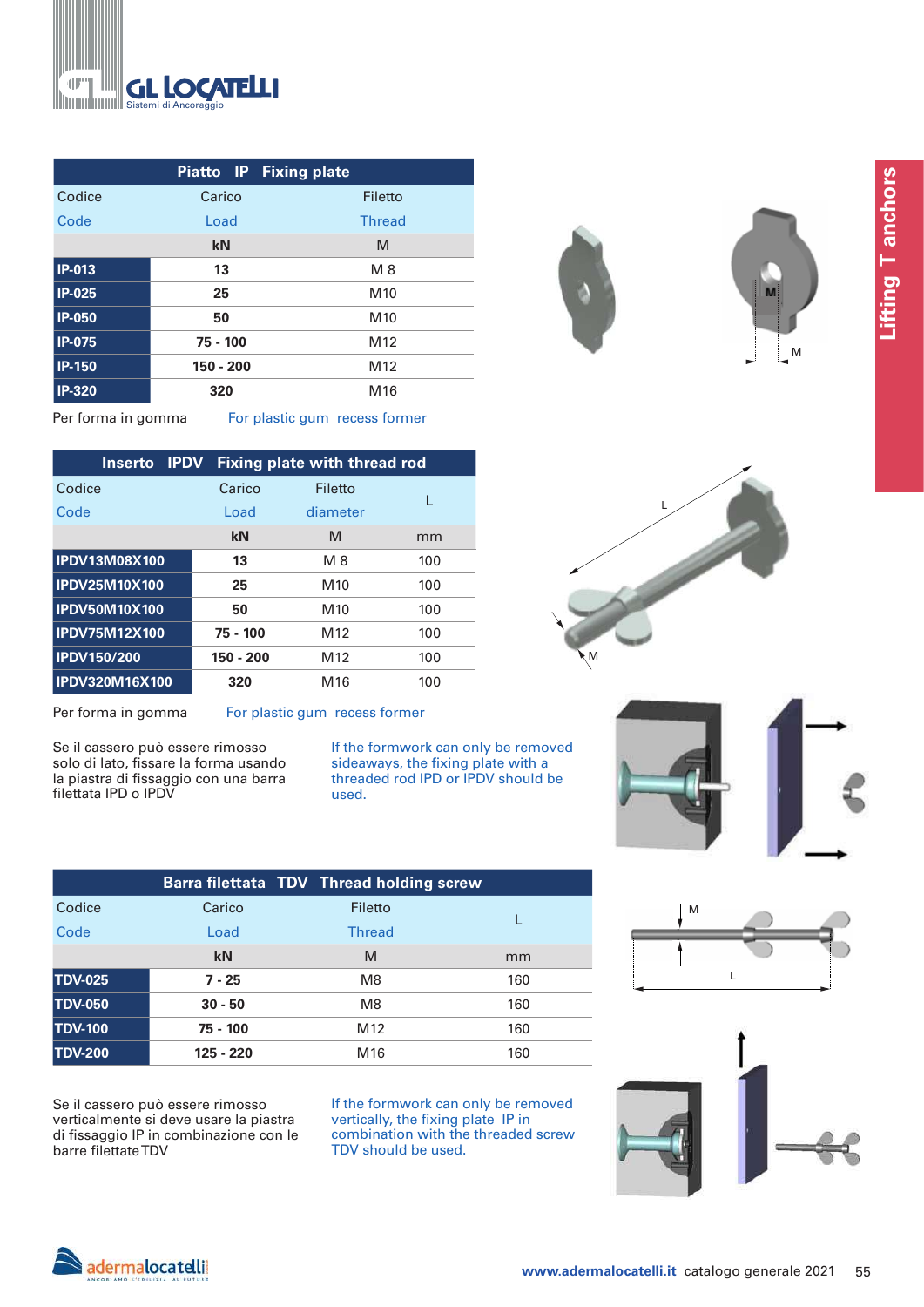

|               |           | <b>Piatto IP Fixing plate</b> |
|---------------|-----------|-------------------------------|
| Codice        | Carico    | Filetto                       |
| Code          | Load      | <b>Thread</b>                 |
|               | kN        | M                             |
| <b>IP-013</b> | 13        | M8                            |
| <b>IP-025</b> | 25        | M <sub>10</sub>               |
| <b>IP-050</b> | 50        | M <sub>10</sub>               |
| <b>IP-075</b> | 75 - 100  | M <sub>12</sub>               |
| <b>IP-150</b> | 150 - 200 | M <sub>12</sub>               |
| <b>IP-320</b> | 320       | M <sub>16</sub>               |



Per forma in gomma For plastic gum recess former

| Inserto               | <b>IPDV</b> |             | <b>Fixing plate with thread rod</b> |     |
|-----------------------|-------------|-------------|-------------------------------------|-----|
| Codice                |             | Carico      | Filetto                             | I.  |
| Code                  |             | Load        | diameter                            |     |
|                       |             | kN          | M                                   | mm  |
| <b>IPDV13M08X100</b>  |             | 13          | M 8                                 | 100 |
| <b>IPDV25M10X100</b>  |             | 25          | M <sub>10</sub>                     | 100 |
| <b>IPDV50M10X100</b>  |             | 50          | M <sub>10</sub>                     | 100 |
| <b>IPDV75M12X100</b>  |             | 75 - 100    | M <sub>12</sub>                     | 100 |
| <b>IPDV150/200</b>    |             | $150 - 200$ | M <sub>12</sub>                     | 100 |
| <b>IPDV320M16X100</b> |             | 320         | M16                                 | 100 |

Per forma in gomma For plastic gum recess former

Se il cassero può essere rimosso solo di lato, fissare la forma usando la piastra di fissaggio con una barra filettata IPD o IPDV

If the formwork can only be removed sideaways, the fixing plate with a threaded rod IPD or IPDV should be used.

|                |           | Barra filettata TDV Thread holding screw |     |
|----------------|-----------|------------------------------------------|-----|
| Codice         | Carico    | Filetto                                  |     |
| Code           | Load      | <b>Thread</b>                            |     |
|                | kN        | M                                        | mm  |
| <b>TDV-025</b> | $7 - 25$  | M <sub>8</sub>                           | 160 |
| <b>TDV-050</b> | $30 - 50$ | M <sub>8</sub>                           | 160 |
| <b>TDV-100</b> | 75 - 100  | M <sub>12</sub>                          | 160 |
| <b>TDV-200</b> | 125 - 220 | M <sub>16</sub>                          | 160 |

Se il cassero può essere rimosso verticalmente si deve usare la piastra di fissaggio IP in combinazione con le barre filettate TDV

If the formwork can only be removed vertically, the fixing plate IP in combination with the threaded screw TDV should be used.









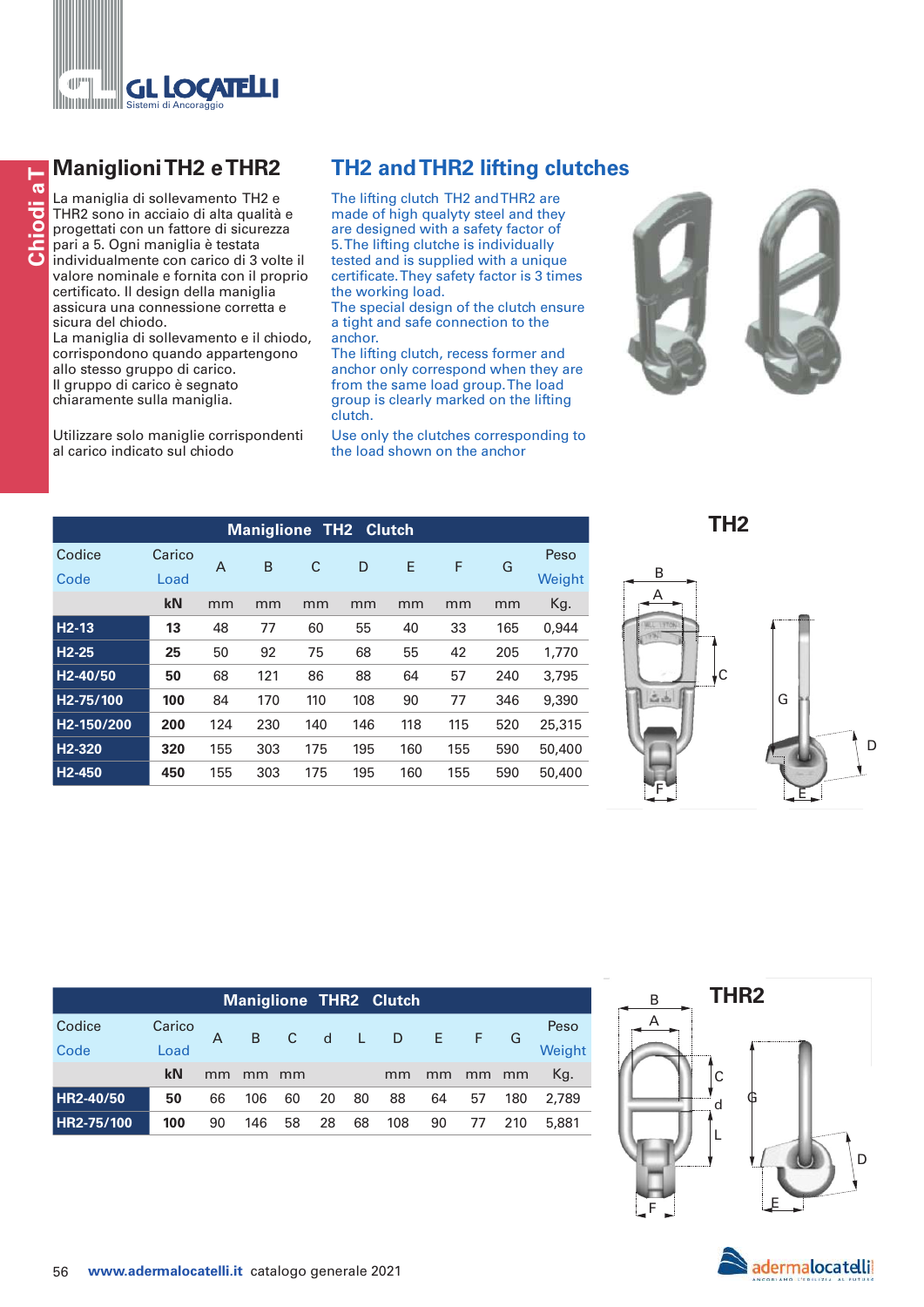

**Conserverse Solutions TH2 e THR2**<br>
La maniglia di sollevamento TH2 e<br>
THR2 sono in acciaio di alta qualità e<br>
Privative progettati con un fattore di sicurezza<br>
Privative progettati con un fattore di sicurezza<br>
Conserverse La maniglia di sollevamento TH2 e THR2 sono in acciaio di alta qualità e progettati con un fattore di sicurezza pari a 5. Ogni maniglia è testata individualmente con carico di 3 volte il valore nominale e fornita con il proprio certificato. Il design della maniglia assicura una connessione corretta e sicura del chiodo.

La maniglia di sollevamento e il chiodo, corrispondono quando appartengono allo stesso gruppo di carico. Il gruppo di carico è segnato chiaramente sulla maniglia.

Utilizzare solo maniglie corrispondenti al carico indicato sul chiodo

The lifting clutch TH2 and THR2 are made of high qualyty steel and they are designed with a safety factor of 5. The lifting clutche is individually tested and is supplied with a unique certificate. They safety factor is 3 times the working load.

The special design of the clutch ensure a tight and safe connection to the anchor.

The lifting clutch, recess former and anchor only correspond when they are from the same load group. The load group is clearly marked on the lifting clutch.

Use only the clutches corresponding to the load shown on the anchor



**Maniglione TH2 Clutch** Codice Carico A B C D E F G Peso Code Load Weight **kN** mm mm mm mm mm mm mm Kg.  **H2-13 13** 48 77 60 55 40 33 165 0,944  **H2-25 25** 50 92 75 68 55 42 205 1,770  **H2-40/50 50** 68 121 86 88 64 57 240 3,795  **H2-75/100 100** 84 170 110 108 90 77 346 9,390  **H2-150/200 200** 124 230 140 146 118 115 520 25,315  **H2-320 320** 155 303 175 195 160 155 590 50,400  **H2-450 450** 155 303 175 195 160 155 590 50,400

**TH2**



|            |        |    |     |    |    |    | <b>Maniglione THR2 Clutch</b> |    |    |     |        |
|------------|--------|----|-----|----|----|----|-------------------------------|----|----|-----|--------|
| Codice     | Carico |    |     |    |    |    | B C d L D E F G               |    |    |     | Peso   |
| Code       | Load   |    |     |    |    |    |                               |    |    |     | Weight |
|            | kN     | mm | mm  | mm |    |    | mm                            | mm | mm | mm  | Kg.    |
| HR2-40/50  | 50     | 66 | 106 | 60 | 20 | 80 | 88                            | 64 | 57 | 180 | 2.789  |
| HR2-75/100 | 100    | 90 | 146 | 58 | 28 | 68 | 108                           | 90 | 77 | 210 | 5,881  |



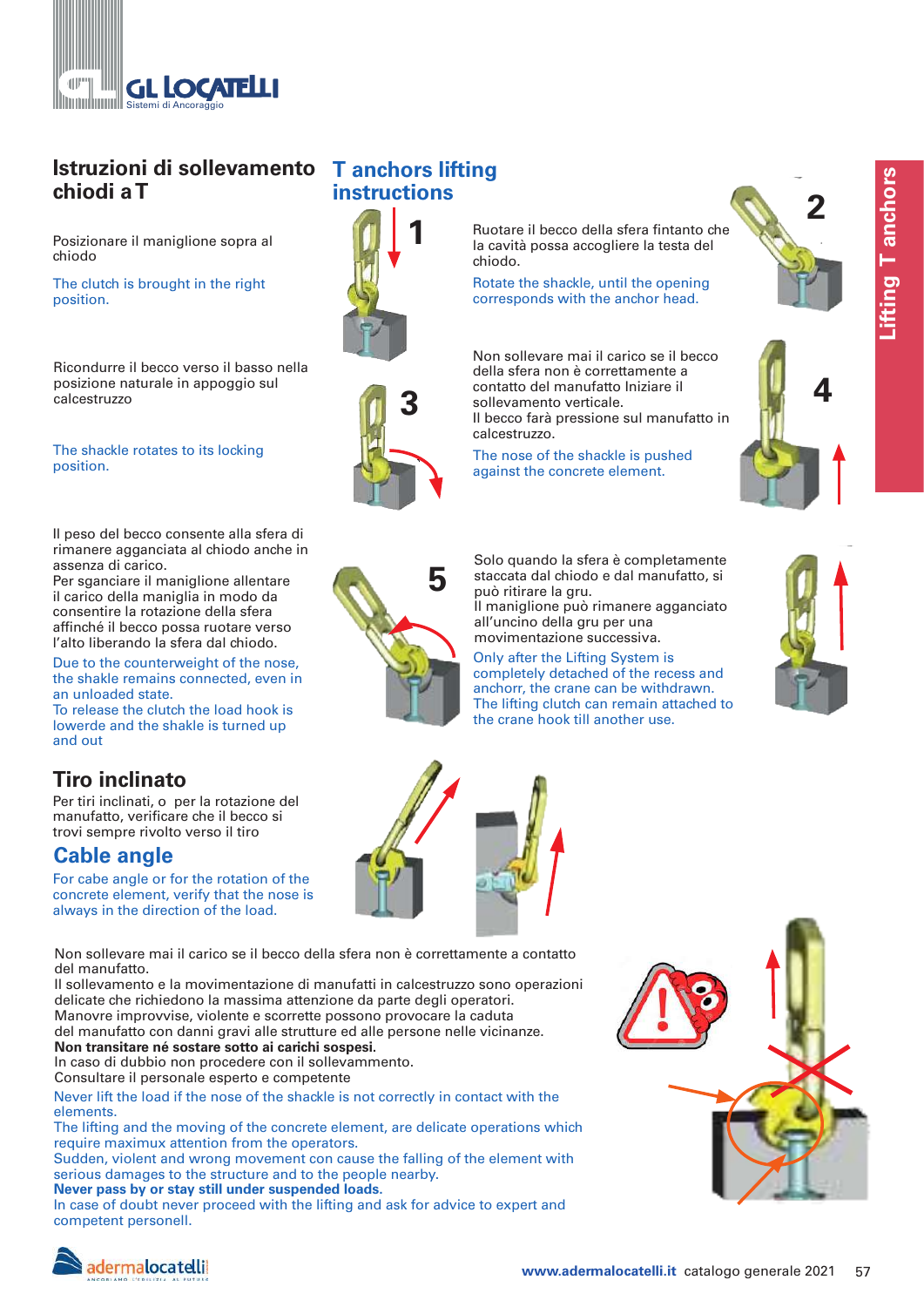

# **Istruzioni di sollevamento T anchors lifting chiodi a T**

Posizionare il maniglione sopra al chiodo

The clutch is brought in the right position.

Ricondurre il becco verso il basso nella posizione naturale in appoggio sul calcestruzzo

## The shackle rotates to its locking position.

Il peso del becco consente alla sfera di rimanere agganciata al chiodo anche in assenza di carico.

Per sganciare il maniglione allentare il carico della maniglia in modo da consentire la rotazione della sfera affinché il becco possa ruotare verso l'alto liberando la sfera dal chiodo.

Due to the counterweight of the nose, the shakle remains connected, even in an unloaded state.

To release the clutch the load hook is lowerde and the shakle is turned up and out

# **Tiro inclinato**

Per tiri inclinati, o per la rotazione del manufatto, verificare che il becco si trovi sempre rivolto verso il tiro

# **Cable angle**

For cabe angle or for the rotation of the concrete element, verify that the nose is always in the direction of the load.

Non sollevare mai il carico se il becco della sfera non è correttamente a contatto del manufatto.

Il sollevamento e la movimentazione di manufatti in calcestruzzo sono operazioni delicate che richiedono la massima attenzione da parte degli operatori. Manovre improvvise, violente e scorrette possono provocare la caduta del manufatto con danni gravi alle strutture ed alle persone nelle vicinanze. **Non transitare né sostare sotto ai carichi sospesi.**

In caso di dubbio non procedere con il sollevammento.

Consultare il personale esperto e competente

Never lift the load if the nose of the shackle is not correctly in contact with the elements.

The lifting and the moving of the concrete element, are delicate operations which require maximux attention from the operators.

Sudden, violent and wrong movement con cause the falling of the element with serious damages to the structure and to the people nearby. **Never pass by or stay still under suspended loads.**

In case of doubt never proceed with the lifting and ask for advice to expert and competent personell.

# **instructions**



Ruotare il becco della sfera fintanto che la cavità possa accogliere la testa del chiodo.

Rotate the shackle, until the opening corresponds with the anchor head.

Non sollevare mai il carico se il becco della sfera non è correttamente a contatto del manufatto Iniziare il sollevamento verticale. Il becco farà pressione sul manufatto in **3 4** calcestruzzo.

> The nose of the shackle is pushed against the concrete element.







**5** Solo quando la sfera è completamente staccata dal chiodo e dal manufatto, si può ritirare la gru.

Il maniglione può rimanere agganciato all'uncino della gru per una movimentazione successiva.

Only after the Lifting System is completely detached of the recess and anchorr, the crane can be withdrawn. The lifting clutch can remain attached to the crane hook till another use.









# adermalocatelli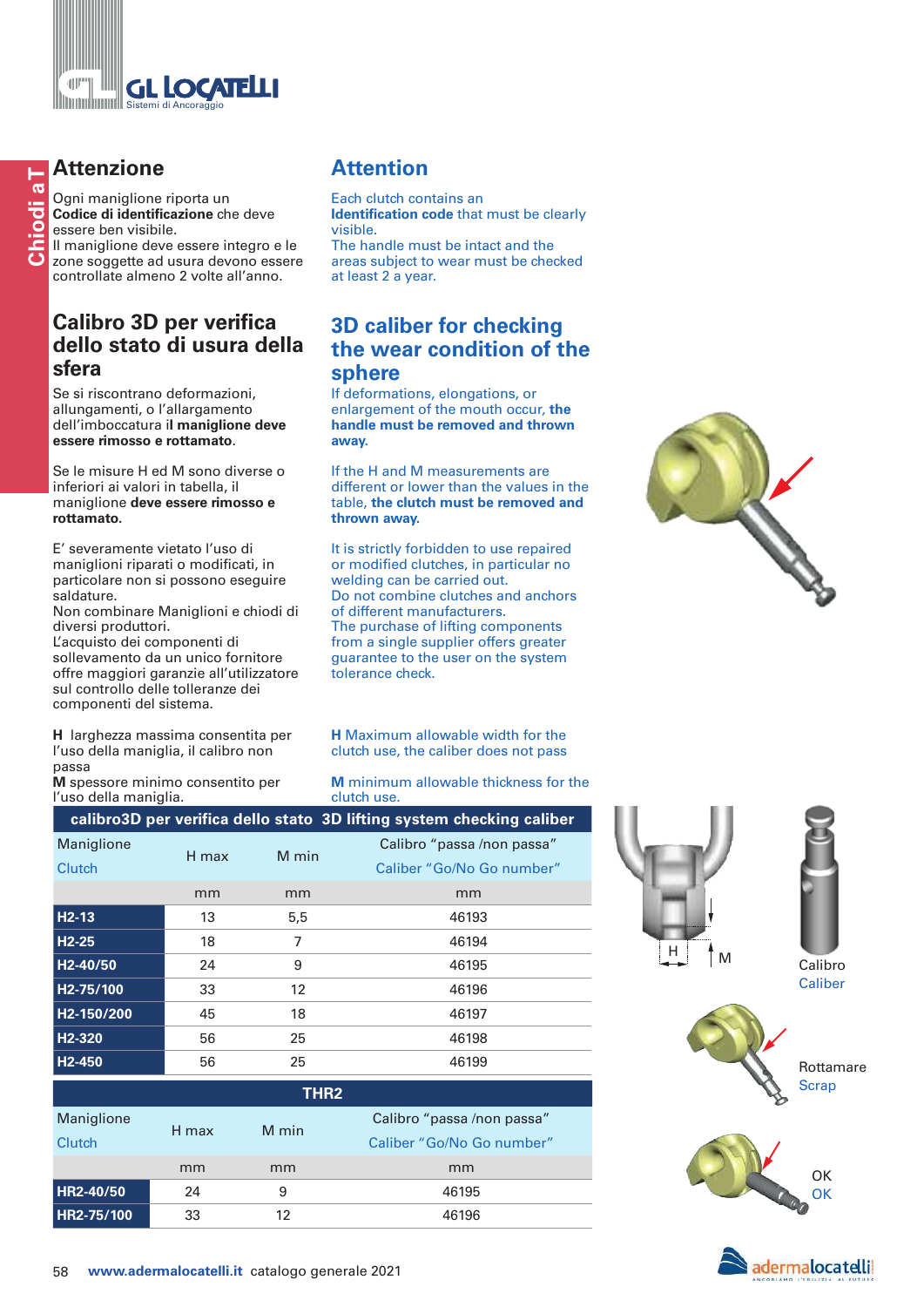

# **Attenzione**

Ogni maniglione riporta un **Codice di identificazione** che deve essere ben visibile. Il maniglione deve essere integro e le

zone soggette ad usura devono essere controllate almeno 2 volte all'anno.

## **Calibro 3D per verifica dello stato di usura della sfera**

Se si riscontrano deformazioni, allungamenti, o l'allargamento dell'imboccatura i**l maniglione deve essere rimosso e rottamato**.

Se le misure H ed M sono diverse o inferiori ai valori in tabella, il maniglione **deve essere rimosso e rottamato.**

E' severamente vietato l'uso di maniglioni riparati o modificati, in particolare non si possono eseguire saldature.

Non combinare Maniglioni e chiodi di diversi produttori.

L'acquisto dei componenti di sollevamento da un unico fornitore offre maggiori garanzie all'utilizzatore sul controllo delle tolleranze dei componenti del sistema.

**H** larghezza massima consentita per l'uso della maniglia, il calibro non passa

**M** spessore minimo consentito per l'uso della maniglia.

# **Attention**

Each clutch contains an **Identification code** that must be clearly visible.

The handle must be intact and the areas subject to wear must be checked at least 2 a year.

## **3D caliber for checking the wear condition of the sphere**

If deformations, elongations, or enlargement of the mouth occur, **the handle must be removed and thrown away.**

If the H and M measurements are different or lower than the values in the table, **the clutch must be removed and thrown away.**

It is strictly forbidden to use repaired or modified clutches, in particular no welding can be carried out. Do not combine clutches and anchors of different manufacturers. The purchase of lifting components from a single supplier offers greater guarantee to the user on the system tolerance check.



**M** minimum allowable thickness for the clutch use.

|                         |       |       | calibro3D per verifica dello stato 3D lifting system checking caliber |
|-------------------------|-------|-------|-----------------------------------------------------------------------|
| Maniglione              | H max | M min | Calibro "passa /non passa"                                            |
| <b>Clutch</b>           |       |       | Caliber "Go/No Go number"                                             |
|                         | mm    | mm    | mm                                                                    |
| $H2-13$                 | 13    | 5,5   | 46193                                                                 |
| $H2-25$                 | 18    | 7     | 46194                                                                 |
| H <sub>2</sub> -40/50   | 24    | 9     | 46195                                                                 |
| H <sub>2</sub> -75/100  | 33    | 12    | 46196                                                                 |
| H <sub>2</sub> -150/200 | 45    | 18    | 46197                                                                 |
| H <sub>2</sub> -320     | 56    | 25    | 46198                                                                 |
| H <sub>2</sub> -450     | 56    | 25    | 46199                                                                 |

| THR <sub>2</sub> |       |       |                            |  |  |  |
|------------------|-------|-------|----------------------------|--|--|--|
| Maniglione       | H max | M min | Calibro "passa /non passa" |  |  |  |
| Clutch           |       |       | Caliber "Go/No Go number"  |  |  |  |
|                  | mm    | mm    | mm                         |  |  |  |
| HR2-40/50        | 24    | 9     | 46195                      |  |  |  |
| HR2-75/100       | 33    | 12    | 46196                      |  |  |  |





Caliber



Rottamare **Scrap**